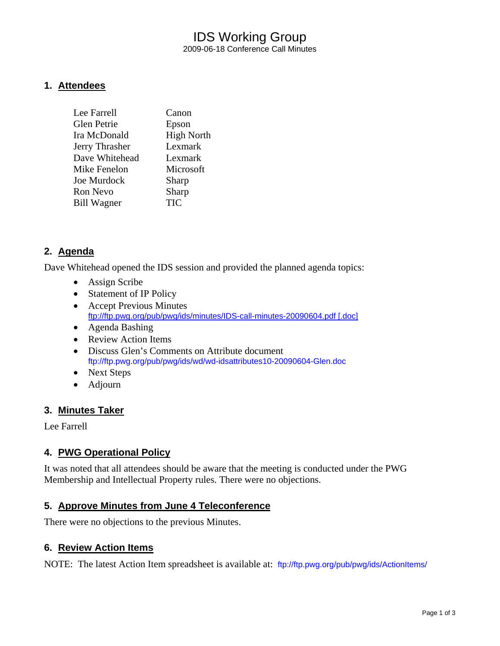## IDS Working Group 2009-06-18 Conference Call Minutes

### **1. Attendees**

| Lee Farrell        | Canon             |
|--------------------|-------------------|
| Glen Petrie        | Epson             |
| Ira McDonald       | <b>High North</b> |
| Jerry Thrasher     | Lexmark           |
| Dave Whitehead     | Lexmark           |
| Mike Fenelon       | Microsoft         |
| Joe Murdock        | Sharp             |
| Ron Nevo           | Sharp             |
| <b>Bill Wagner</b> | <b>TIC</b>        |
|                    |                   |

## **2. Agenda**

Dave Whitehead opened the IDS session and provided the planned agenda topics:

- Assign Scribe
- Statement of IP Policy
- Accept Previous Minutes [ftp://ftp.pwg.org/pub/pwg/ids/minutes/IDS-call-minutes-20090604.pdf \[.doc\]](ftp://ftp.pwg.org/pub/pwg/ids/minutes/)
- Agenda Bashing
- Review Action Items
- Discuss Glen's Comments on Attribute document <ftp://ftp.pwg.org/pub/pwg/ids/wd/wd-idsattributes10-20090604-Glen.doc>
- Next Steps
- Adjourn

## **3. Minutes Taker**

Lee Farrell

## **4. PWG Operational Policy**

It was noted that all attendees should be aware that the meeting is conducted under the PWG Membership and Intellectual Property rules. There were no objections.

#### **5. Approve Minutes from June 4 Teleconference**

There were no objections to the previous Minutes.

#### **6. Review Action Items**

NOTE: The latest Action Item spreadsheet is available at: <ftp://ftp.pwg.org/pub/pwg/ids/ActionItems/>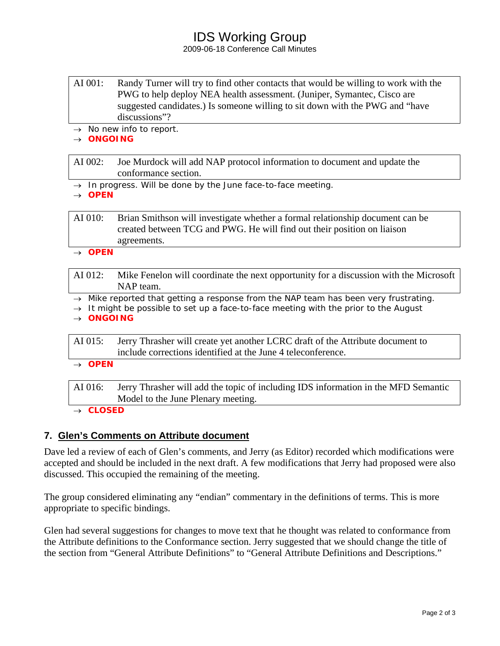## IDS Working Group

#### 2009-06-18 Conference Call Minutes

- AI 001: Randy Turner will try to find other contacts that would be willing to work with the PWG to help deploy NEA health assessment. (Juniper, Symantec, Cisco are suggested candidates.) Is someone willing to sit down with the PWG and "have discussions"?
- → *No new info to report.*

#### → *ONGOING*

AI 002: Joe Murdock will add NAP protocol information to document and update the conformance section.

→ *In progress. Will be done by the June face-to-face meeting.* 

→ *OPEN* 

AI 010: Brian Smithson will investigate whether a formal relationship document can be created between TCG and PWG. He will find out their position on liaison agreements.

→ *OPEN* 

- AI 012: Mike Fenelon will coordinate the next opportunity for a discussion with the Microsoft NAP team.
- → *Mike reported that getting a response from the NAP team has been very frustrating.*
- → *It might be possible to set up a face-to-face meeting with the prior to the August*

→ *ONGOING* 

- AI 015: Jerry Thrasher will create yet another LCRC draft of the Attribute document to include corrections identified at the June 4 teleconference.
- → *OPEN*

AI 016: Jerry Thrasher will add the topic of including IDS information in the MFD Semantic Model to the June Plenary meeting.

#### → *CLOSED*

## **7. Glen's Comments on Attribute document**

Dave led a review of each of Glen's comments, and Jerry (as Editor) recorded which modifications were accepted and should be included in the next draft. A few modifications that Jerry had proposed were also discussed. This occupied the remaining of the meeting.

The group considered eliminating any "endian" commentary in the definitions of terms. This is more appropriate to specific bindings.

Glen had several suggestions for changes to move text that he thought was related to conformance from the Attribute definitions to the Conformance section. Jerry suggested that we should change the title of the section from "General Attribute Definitions" to "General Attribute Definitions and Descriptions."